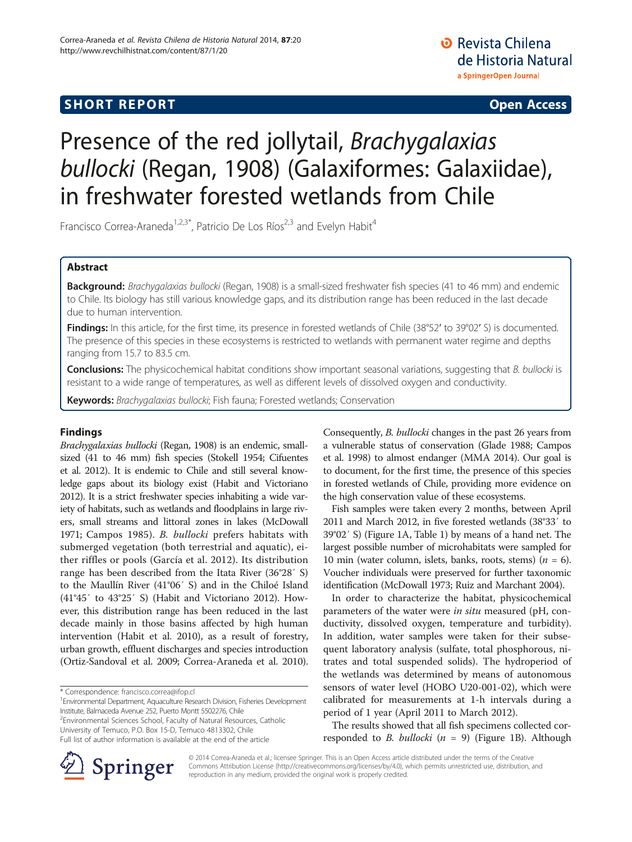## **SHORT REPORT SHORT CONSUMING THE CONSUMING THE CONSUMING THE CONSUMING THE CONSUMING THE CONSUMING THE CONSUMING THE CONSUMING THE CONSUMING THE CONSUMING THE CONSUMING THE CONSUMING THE CONSUMING THE CONSUMING THE CO**

# Presence of the red jollytail, Brachygalaxias bullocki (Regan, 1908) (Galaxiformes: Galaxiidae), in freshwater forested wetlands from Chile

Francisco Correa-Araneda<sup>1,2,3\*</sup>, Patricio De Los Ríos<sup>2,3</sup> and Evelyn Habit<sup>4</sup>

## Abstract

Background: Brachygalaxias bullocki (Regan, 1908) is a small-sized freshwater fish species (41 to 46 mm) and endemic to Chile. Its biology has still various knowledge gaps, and its distribution range has been reduced in the last decade due to human intervention.

Findings: In this article, for the first time, its presence in forested wetlands of Chile (38°52' to 39°02' S) is documented. The presence of this species in these ecosystems is restricted to wetlands with permanent water regime and depths ranging from 15.7 to 83.5 cm.

Conclusions: The physicochemical habitat conditions show important seasonal variations, suggesting that B. bullocki is resistant to a wide range of temperatures, as well as different levels of dissolved oxygen and conductivity.

Keywords: Brachygalaxias bullocki; Fish fauna; Forested wetlands; Conservation

## Findings

Brachygalaxias bullocki (Regan, 1908) is an endemic, smallsized (41 to 46 mm) fish species (Stokell [1954;](#page-3-0) Cifuentes et al. [2012\)](#page-3-0). It is endemic to Chile and still several knowledge gaps about its biology exist (Habit and Victoriano [2012](#page-3-0)). It is a strict freshwater species inhabiting a wide variety of habitats, such as wetlands and floodplains in large rivers, small streams and littoral zones in lakes (McDowall [1971](#page-3-0); Campos [1985](#page-3-0)). B. bullocki prefers habitats with submerged vegetation (both terrestrial and aquatic), either riffles or pools (García et al. [2012\)](#page-3-0). Its distribution range has been described from the Itata River (36°28′ S) to the Maullín River (41°06′ S) and in the Chiloé Island (41°45′ to 43°25′ S) (Habit and Victoriano [2012](#page-3-0)). However, this distribution range has been reduced in the last decade mainly in those basins affected by high human intervention (Habit et al. [2010](#page-3-0)), as a result of forestry, urban growth, effluent discharges and species introduction (Ortiz-Sandoval et al. [2009](#page-3-0); Correa-Araneda et al. [2010](#page-3-0)).

\* Correspondence: [francisco.correa@ifop.cl](mailto:francisco.correa@ifop.cl) <sup>1</sup>

<sup>1</sup> Environmental Department, Aquaculture Research Division, Fisheries Development Institute, Balmaceda Avenue 252, Puerto Montt 5502276, Chile <sup>2</sup>

<sup>2</sup>Environmental Sciences School, Faculty of Natural Resources, Catholic University of Temuco, P.O. Box 15-D, Temuco 4813302, Chile Full list of author information is available at the end of the article

Consequently, B. bullocki changes in the past 26 years from a vulnerable status of conservation (Glade [1988;](#page-3-0) Campos et al. [1998\)](#page-3-0) to almost endanger (MMA [2014\)](#page-3-0). Our goal is to document, for the first time, the presence of this species in forested wetlands of Chile, providing more evidence on the high conservation value of these ecosystems.

Fish samples were taken every 2 months, between April 2011 and March 2012, in five forested wetlands (38°33′ to 39°02′ S) (Figure [1A](#page-1-0), Table [1](#page-2-0)) by means of a hand net. The largest possible number of microhabitats were sampled for 10 min (water column, islets, banks, roots, stems) ( $n = 6$ ). Voucher individuals were preserved for further taxonomic identification (McDowall [1973;](#page-3-0) Ruiz and Marchant [2004](#page-3-0)).

In order to characterize the habitat, physicochemical parameters of the water were *in situ* measured (pH, conductivity, dissolved oxygen, temperature and turbidity). In addition, water samples were taken for their subsequent laboratory analysis (sulfate, total phosphorous, nitrates and total suspended solids). The hydroperiod of the wetlands was determined by means of autonomous sensors of water level (HOBO U20-001-02), which were calibrated for measurements at 1-h intervals during a period of 1 year (April 2011 to March 2012).

The results showed that all fish specimens collected corresponded to *B. bullocki* ( $n = 9$ ) (Figure [1](#page-1-0)B). Although



© 2014 Correa-Araneda et al.; licensee Springer. This is an Open Access article distributed under the terms of the Creative Commons Attribution License (<http://creativecommons.org/licenses/by/4.0>), which permits unrestricted use, distribution, and reproduction in any medium, provided the original work is properly credited.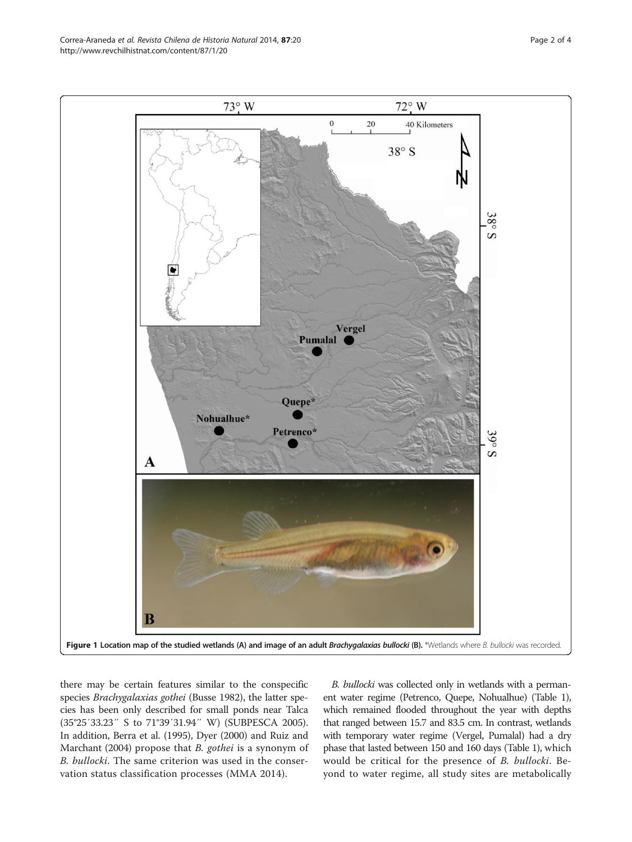there may be certain features similar to the conspecific species Brachygalaxias gothei (Busse 1982), the latter species has been only described for small ponds near Talca (35°25′33.23″ S to 71°39′31.94″ W) (SUBPESCA [2005](#page-3-0)). In addition, Berra et al. [\(1995\)](#page-3-0), Dyer ([2000](#page-3-0)) and Ruiz and Marchant ([2004](#page-3-0)) propose that B. gothei is a synonym of B. bullocki. The same criterion was used in the conservation status classification processes (MMA [2014](#page-3-0)).

B. bullocki was collected only in wetlands with a permanent water regime (Petrenco, Quepe, Nohualhue) (Table [1\)](#page-2-0), which remained flooded throughout the year with depths that ranged between 15.7 and 83.5 cm. In contrast, wetlands with temporary water regime (Vergel, Pumalal) had a dry phase that lasted between 150 and 160 days (Table [1](#page-2-0)), which would be critical for the presence of B. bullocki. Beyond to water regime, all study sites are metabolically

<span id="page-1-0"></span>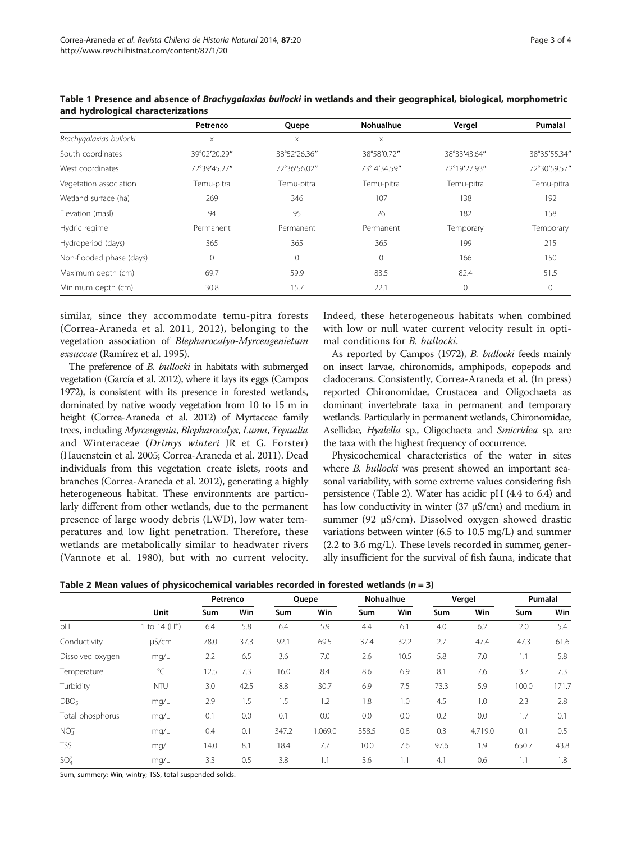|                          | Petrenco              | Quepe        | <b>Nohualhue</b> | Vergel       | Pumalal      |  |
|--------------------------|-----------------------|--------------|------------------|--------------|--------------|--|
| Brachygalaxias bullocki  | $\boldsymbol{\times}$ | X            | X                |              |              |  |
| South coordinates        | 39°02'20.29"          | 38°52'26.36" | 38°58'0.72"      | 38°33'43.64" | 38°35'55.34" |  |
| West coordinates         | 72°39'45.27"          | 72°36'56.02" | 73° 4'34.59"     | 72°19'27.93" | 72°30'59.57" |  |
| Vegetation association   | Temu-pitra            | Temu-pitra   | Temu-pitra       | Temu-pitra   | Temu-pitra   |  |
| Wetland surface (ha)     | 269                   | 346          | 107              | 138          | 192          |  |
| Elevation (masl)         | 94                    | 95           | 26               | 182          | 158          |  |
| Hydric regime            | Permanent             | Permanent    | Permanent        | Temporary    | Temporary    |  |
| Hydroperiod (days)       | 365                   | 365          | 365              | 199          | 215          |  |
| Non-flooded phase (days) | $\mathbf 0$           | $\mathbf{0}$ | $\Omega$         | 166          | 150          |  |
| Maximum depth (cm)       | 69.7                  | 59.9         | 83.5             | 82.4         | 51.5         |  |
| Minimum depth (cm)       | 30.8                  | 15.7         | 22.1             | $\Omega$     | 0            |  |

<span id="page-2-0"></span>Table 1 Presence and absence of Brachygalaxias bullocki in wetlands and their geographical, biological, morphometric and hydrological characterizations

similar, since they accommodate temu-pitra forests (Correa-Araneda et al. [2011, 2012\)](#page-3-0), belonging to the vegetation association of Blepharocalyo-Myrceugenietum exsuccae (Ramírez et al. [1995](#page-3-0)).

The preference of *B. bullocki* in habitats with submerged vegetation (García et al. [2012\)](#page-3-0), where it lays its eggs (Campos [1972](#page-3-0)), is consistent with its presence in forested wetlands, dominated by native woody vegetation from 10 to 15 m in height (Correa-Araneda et al. [2012\)](#page-3-0) of Myrtaceae family trees, including Myrceugenia, Blepharocalyx, Luma,Tepualia and Winteraceae (Drimys winteri JR et G. Forster) (Hauenstein et al. [2005;](#page-3-0) Correa-Araneda et al. [2011\)](#page-3-0). Dead individuals from this vegetation create islets, roots and branches (Correa-Araneda et al. [2012\)](#page-3-0), generating a highly heterogeneous habitat. These environments are particularly different from other wetlands, due to the permanent presence of large woody debris (LWD), low water temperatures and low light penetration. Therefore, these wetlands are metabolically similar to headwater rivers (Vannote et al. [1980](#page-3-0)), but with no current velocity. Indeed, these heterogeneous habitats when combined with low or null water current velocity result in optimal conditions for B. bullocki.

As reported by Campos [\(1972](#page-3-0)), B. bullocki feeds mainly on insect larvae, chironomids, amphipods, copepods and cladocerans. Consistently, Correa-Araneda et al. ([In press](#page-3-0)) reported Chironomidae, Crustacea and Oligochaeta as dominant invertebrate taxa in permanent and temporary wetlands. Particularly in permanent wetlands, Chironomidae, Asellidae, Hyalella sp., Oligochaeta and Smicridea sp. are the taxa with the highest frequency of occurrence.

Physicochemical characteristics of the water in sites where *B. bullocki* was present showed an important seasonal variability, with some extreme values considering fish persistence (Table 2). Water has acidic pH (4.4 to 6.4) and has low conductivity in winter (37 μS/cm) and medium in summer (92 μS/cm). Dissolved oxygen showed drastic variations between winter (6.5 to 10.5 mg/L) and summer (2.2 to 3.6 mg/L). These levels recorded in summer, generally insufficient for the survival of fish fauna, indicate that

Table 2 Mean values of physicochemical variables recorded in forested wetlands ( $n = 3$ )

|                  | Unit                    | Petrenco   |      | Quepe |         | <b>Nohualhue</b> |      | Vergel |         | Pumalal |       |
|------------------|-------------------------|------------|------|-------|---------|------------------|------|--------|---------|---------|-------|
|                  |                         | <b>Sum</b> | Win  | Sum   | Win     | Sum              | Win  | Sum    | Win     | Sum     | Win   |
| pH               | to 14 (H <sup>+</sup> ) | 6.4        | 5.8  | 6.4   | 5.9     | 4.4              | 6.1  | 4.0    | 6.2     | 2.0     | 5.4   |
| Conductivity     | µS/cm                   | 78.0       | 37.3 | 92.1  | 69.5    | 37.4             | 32.2 | 2.7    | 47.4    | 47.3    | 61.6  |
| Dissolved oxygen | mq/L                    | 2.2        | 6.5  | 3.6   | 7.0     | 2.6              | 10.5 | 5.8    | 7.0     | 1.1     | 5.8   |
| Temperature      | $^{\circ}$ C            | 12.5       | 7.3  | 16.0  | 8.4     | 8.6              | 6.9  | 8.1    | 7.6     | 3.7     | 7.3   |
| Turbidity        | <b>NTU</b>              | 3.0        | 42.5 | 8.8   | 30.7    | 6.9              | 7.5  | 73.3   | 5.9     | 100.0   | 171.7 |
| DBO <sub>5</sub> | mq/L                    | 2.9        | 1.5  | 1.5   | 1.2     | 1.8              | 1.0  | 4.5    | 1.0     | 2.3     | 2.8   |
| Total phosphorus | mg/L                    | 0.1        | 0.0  | 0.1   | 0.0     | 0.0              | 0.0  | 0.2    | 0.0     | 1.7     | 0.1   |
| NO <sub>3</sub>  | mq/L                    | 0.4        | 0.1  | 347.2 | 1,069.0 | 358.5            | 0.8  | 0.3    | 4,719.0 | 0.1     | 0.5   |
| <b>TSS</b>       | mq/L                    | 14.0       | 8.1  | 18.4  | 7.7     | 10.0             | 7.6  | 97.6   | 1.9     | 650.7   | 43.8  |
| $SO_{4}^{2-}$    | mq/L                    | 3.3        | 0.5  | 3.8   | 1.1     | 3.6              | 1.1  | 4.1    | 0.6     | 1.1     | 1.8   |

Sum, summery; Win, wintry; TSS, total suspended solids.